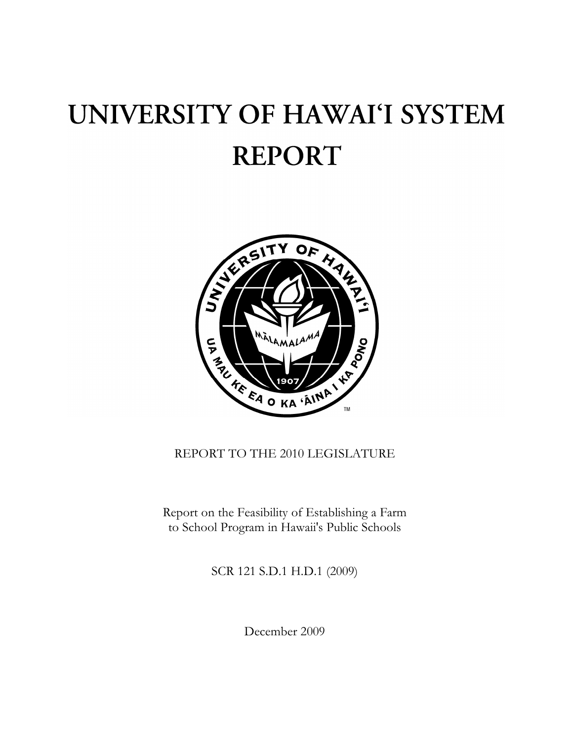# UNIVERSITY OF HAWAI'I SYSTEM **REPORT**



# REPORT TO THE 2010 LEGISLATURE

Report on the Feasibility of Establishing a Farm to School Program in Hawaii's Public Schools

SCR 121 S.D.1 H.D.1 (2009)

December 2009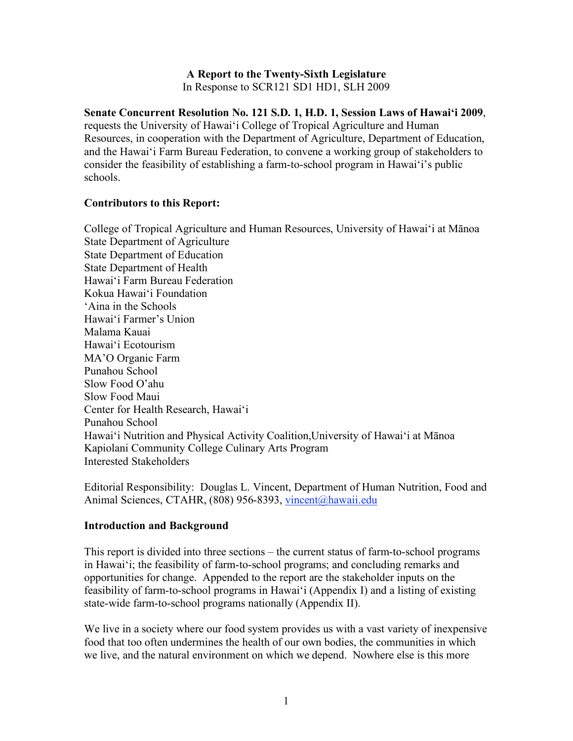#### **A Report to the Twenty-Sixth Legislature** In Response to SCR121 SD1 HD1, SLH 2009

**Senate Concurrent Resolution No. 121 S.D. 1, H.D. 1, Session Laws of Hawai'i 2009**, requests the University of Hawai'i College of Tropical Agriculture and Human Resources, in cooperation with the Department of Agriculture, Department of Education, and the Hawai'i Farm Bureau Federation, to convene a working group of stakeholders to consider the feasibility of establishing a farm-to-school program in Hawai'i's public schools.

#### **Contributors to this Report:**

College of Tropical Agriculture and Human Resources, University of Hawai'i at Mānoa State Department of Agriculture State Department of Education State Department of Health Hawai'i Farm Bureau Federation Kokua Hawai'i Foundation 'Aina in the Schools Hawai'i Farmer's Union Malama Kauai Hawai'i Ecotourism MA'O Organic Farm Punahou School Slow Food O'ahu Slow Food Maui Center for Health Research, Hawai'i Punahou School Hawai'i Nutrition and Physical Activity Coalition,University of Hawai'i at Mānoa Kapiolani Community College Culinary Arts Program Interested Stakeholders

Editorial Responsibility: Douglas L. Vincent, Department of Human Nutrition, Food and Animal Sciences, CTAHR, (808) 956-8393, vincent@hawaii.edu

#### **Introduction and Background**

This report is divided into three sections – the current status of farm-to-school programs in Hawai'i; the feasibility of farm-to-school programs; and concluding remarks and opportunities for change. Appended to the report are the stakeholder inputs on the feasibility of farm-to-school programs in Hawai'i (Appendix I) and a listing of existing state-wide farm-to-school programs nationally (Appendix II).

We live in a society where our food system provides us with a vast variety of inexpensive food that too often undermines the health of our own bodies, the communities in which we live, and the natural environment on which we depend. Nowhere else is this more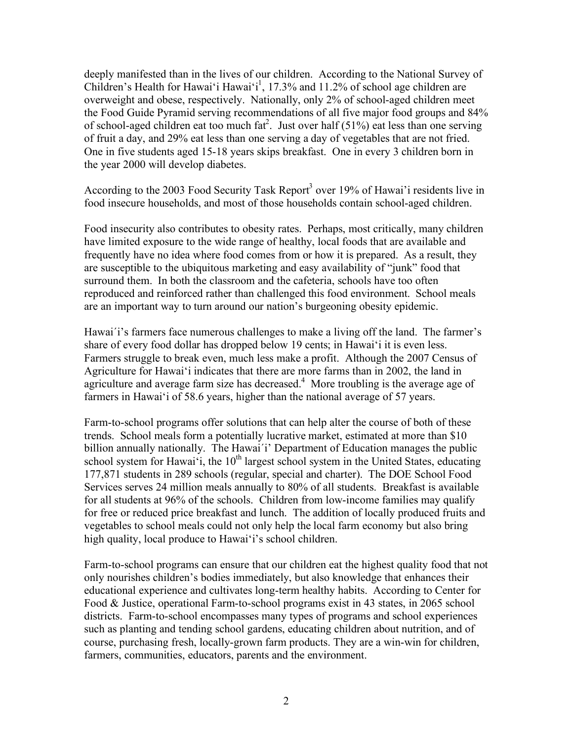deeply manifested than in the lives of our children. According to the National Survey of Children's Health for Hawai'i Hawai'i<sup>1</sup>, 17.3% and 11.2% of school age children are overweight and obese, respectively. Nationally, only 2% of school-aged children meet the Food Guide Pyramid serving recommendations of all five major food groups and 84% of school-aged children eat too much fat<sup>2</sup>. Just over half (51%) eat less than one serving of fruit a day, and 29% eat less than one serving a day of vegetables that are not fried. One in five students aged 15-18 years skips breakfast. One in every 3 children born in the year 2000 will develop diabetes.

According to the 2003 Food Security Task Report<sup>3</sup> over 19% of Hawai'i residents live in food insecure households, and most of those households contain school-aged children.

Food insecurity also contributes to obesity rates. Perhaps, most critically, many children have limited exposure to the wide range of healthy, local foods that are available and frequently have no idea where food comes from or how it is prepared. As a result, they are susceptible to the ubiquitous marketing and easy availability of "junk" food that surround them. In both the classroom and the cafeteria, schools have too often reproduced and reinforced rather than challenged this food environment. School meals are an important way to turn around our nation's burgeoning obesity epidemic.

Hawai'i's farmers face numerous challenges to make a living off the land. The farmer's share of every food dollar has dropped below 19 cents; in Hawai'i it is even less. Farmers struggle to break even, much less make a profit. Although the 2007 Census of Agriculture for Hawai'i indicates that there are more farms than in 2002, the land in agriculture and average farm size has decreased. $4$  More troubling is the average age of farmers in Hawai'i of 58.6 years, higher than the national average of 57 years.

Farm-to-school programs offer solutions that can help alter the course of both of these trends. School meals form a potentially lucrative market, estimated at more than \$10 billion annually nationally. The Hawai΄i' Department of Education manages the public school system for Hawai'i, the  $10<sup>th</sup>$  largest school system in the United States, educating 177,871 students in 289 schools (regular, special and charter). The DOE School Food Services serves 24 million meals annually to 80% of all students. Breakfast is available for all students at 96% of the schools. Children from low-income families may qualify for free or reduced price breakfast and lunch. The addition of locally produced fruits and vegetables to school meals could not only help the local farm economy but also bring high quality, local produce to Hawai'i's school children.

Farm-to-school programs can ensure that our children eat the highest quality food that not only nourishes children's bodies immediately, but also knowledge that enhances their educational experience and cultivates long-term healthy habits. According to Center for Food & Justice, operational Farm-to-school programs exist in 43 states, in 2065 school districts. Farm-to-school encompasses many types of programs and school experiences such as planting and tending school gardens, educating children about nutrition, and of course, purchasing fresh, locally-grown farm products. They are a win-win for children, farmers, communities, educators, parents and the environment.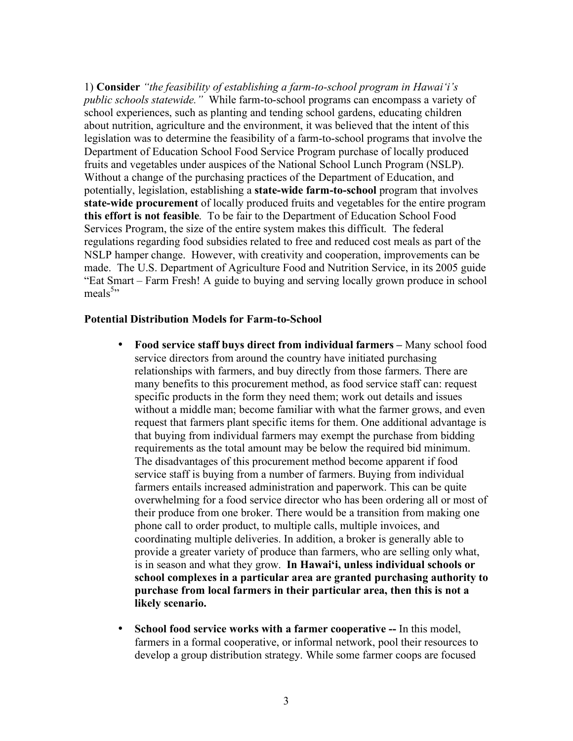1) **Consider** *"the feasibility of establishing a farm-to-school program in Hawai'i's public schools statewide."* While farm-to-school programs can encompass a variety of school experiences, such as planting and tending school gardens, educating children about nutrition, agriculture and the environment, it was believed that the intent of this legislation was to determine the feasibility of a farm-to-school programs that involve the Department of Education School Food Service Program purchase of locally produced fruits and vegetables under auspices of the National School Lunch Program (NSLP). Without a change of the purchasing practices of the Department of Education, and potentially, legislation, establishing a **state-wide farm-to-school** program that involves **state-wide procurement** of locally produced fruits and vegetables for the entire program **this effort is not feasible**. To be fair to the Department of Education School Food Services Program, the size of the entire system makes this difficult. The federal regulations regarding food subsidies related to free and reduced cost meals as part of the NSLP hamper change. However, with creativity and cooperation, improvements can be made. The U.S. Department of Agriculture Food and Nutrition Service, in its 2005 guide "Eat Smart – Farm Fresh! A guide to buying and serving locally grown produce in school meals<sup>5</sup>"

#### **Potential Distribution Models for Farm-to-School**

- **Food service staff buys direct from individual farmers –** Many school food service directors from around the country have initiated purchasing relationships with farmers, and buy directly from those farmers. There are many benefits to this procurement method, as food service staff can: request specific products in the form they need them; work out details and issues without a middle man; become familiar with what the farmer grows, and even request that farmers plant specific items for them. One additional advantage is that buying from individual farmers may exempt the purchase from bidding requirements as the total amount may be below the required bid minimum. The disadvantages of this procurement method become apparent if food service staff is buying from a number of farmers. Buying from individual farmers entails increased administration and paperwork. This can be quite overwhelming for a food service director who has been ordering all or most of their produce from one broker. There would be a transition from making one phone call to order product, to multiple calls, multiple invoices, and coordinating multiple deliveries. In addition, a broker is generally able to provide a greater variety of produce than farmers, who are selling only what, is in season and what they grow. **In Hawai'i, unless individual schools or school complexes in a particular area are granted purchasing authority to purchase from local farmers in their particular area, then this is not a likely scenario.**
- **School food service works with a farmer cooperative --** In this model, farmers in a formal cooperative, or informal network, pool their resources to develop a group distribution strategy. While some farmer coops are focused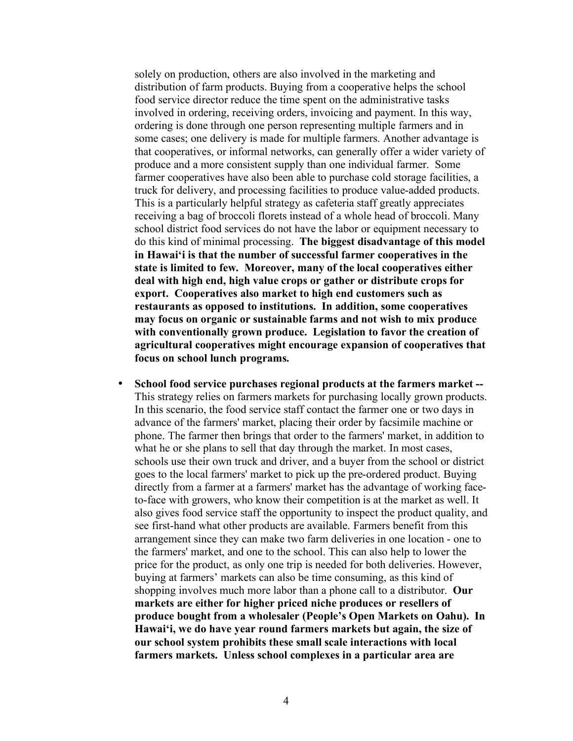solely on production, others are also involved in the marketing and distribution of farm products. Buying from a cooperative helps the school food service director reduce the time spent on the administrative tasks involved in ordering, receiving orders, invoicing and payment. In this way, ordering is done through one person representing multiple farmers and in some cases; one delivery is made for multiple farmers. Another advantage is that cooperatives, or informal networks, can generally offer a wider variety of produce and a more consistent supply than one individual farmer. Some farmer cooperatives have also been able to purchase cold storage facilities, a truck for delivery, and processing facilities to produce value-added products. This is a particularly helpful strategy as cafeteria staff greatly appreciates receiving a bag of broccoli florets instead of a whole head of broccoli. Many school district food services do not have the labor or equipment necessary to do this kind of minimal processing. **The biggest disadvantage of this model in Hawai'i is that the number of successful farmer cooperatives in the state is limited to few. Moreover, many of the local cooperatives either deal with high end, high value crops or gather or distribute crops for export. Cooperatives also market to high end customers such as restaurants as opposed to institutions. In addition, some cooperatives may focus on organic or sustainable farms and not wish to mix produce with conventionally grown produce. Legislation to favor the creation of agricultural cooperatives might encourage expansion of cooperatives that focus on school lunch programs.** 

• **School food service purchases regional products at the farmers market --** This strategy relies on farmers markets for purchasing locally grown products. In this scenario, the food service staff contact the farmer one or two days in advance of the farmers' market, placing their order by facsimile machine or phone. The farmer then brings that order to the farmers' market, in addition to what he or she plans to sell that day through the market. In most cases, schools use their own truck and driver, and a buyer from the school or district goes to the local farmers' market to pick up the pre-ordered product. Buying directly from a farmer at a farmers' market has the advantage of working faceto-face with growers, who know their competition is at the market as well. It also gives food service staff the opportunity to inspect the product quality, and see first-hand what other products are available. Farmers benefit from this arrangement since they can make two farm deliveries in one location - one to the farmers' market, and one to the school. This can also help to lower the price for the product, as only one trip is needed for both deliveries. However, buying at farmers' markets can also be time consuming, as this kind of shopping involves much more labor than a phone call to a distributor. **Our markets are either for higher priced niche produces or resellers of produce bought from a wholesaler (People's Open Markets on Oahu). In Hawai'i, we do have year round farmers markets but again, the size of our school system prohibits these small scale interactions with local farmers markets. Unless school complexes in a particular area are**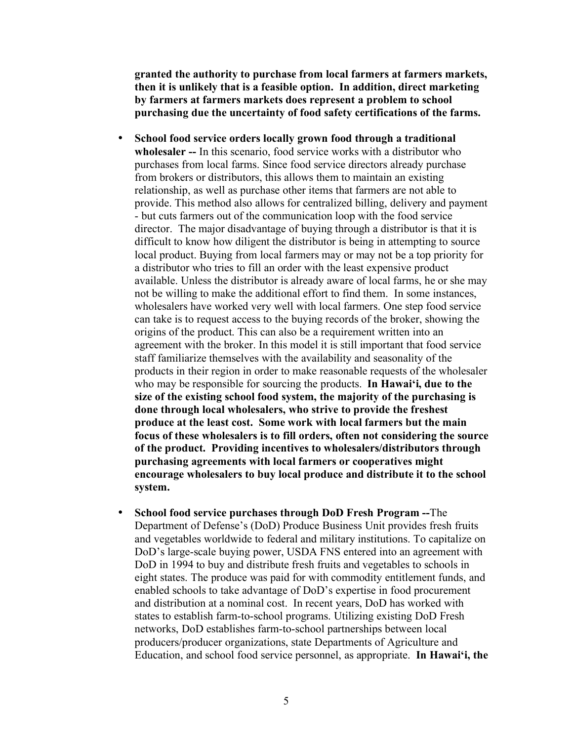**granted the authority to purchase from local farmers at farmers markets, then it is unlikely that is a feasible option. In addition, direct marketing by farmers at farmers markets does represent a problem to school purchasing due the uncertainty of food safety certifications of the farms.** 

- **School food service orders locally grown food through a traditional wholesaler --** In this scenario, food service works with a distributor who purchases from local farms. Since food service directors already purchase from brokers or distributors, this allows them to maintain an existing relationship, as well as purchase other items that farmers are not able to provide. This method also allows for centralized billing, delivery and payment - but cuts farmers out of the communication loop with the food service director. The major disadvantage of buying through a distributor is that it is difficult to know how diligent the distributor is being in attempting to source local product. Buying from local farmers may or may not be a top priority for a distributor who tries to fill an order with the least expensive product available. Unless the distributor is already aware of local farms, he or she may not be willing to make the additional effort to find them. In some instances, wholesalers have worked very well with local farmers. One step food service can take is to request access to the buying records of the broker, showing the origins of the product. This can also be a requirement written into an agreement with the broker. In this model it is still important that food service staff familiarize themselves with the availability and seasonality of the products in their region in order to make reasonable requests of the wholesaler who may be responsible for sourcing the products. **In Hawai'i, due to the size of the existing school food system, the majority of the purchasing is done through local wholesalers, who strive to provide the freshest produce at the least cost. Some work with local farmers but the main focus of these wholesalers is to fill orders, often not considering the source of the product. Providing incentives to wholesalers/distributors through purchasing agreements with local farmers or cooperatives might encourage wholesalers to buy local produce and distribute it to the school system.**
- **School food service purchases through DoD Fresh Program --**The Department of Defense's (DoD) Produce Business Unit provides fresh fruits and vegetables worldwide to federal and military institutions. To capitalize on DoD's large-scale buying power, USDA FNS entered into an agreement with DoD in 1994 to buy and distribute fresh fruits and vegetables to schools in eight states. The produce was paid for with commodity entitlement funds, and enabled schools to take advantage of DoD's expertise in food procurement and distribution at a nominal cost. In recent years, DoD has worked with states to establish farm-to-school programs. Utilizing existing DoD Fresh networks, DoD establishes farm-to-school partnerships between local producers/producer organizations, state Departments of Agriculture and Education, and school food service personnel, as appropriate. **In Hawai'i, the**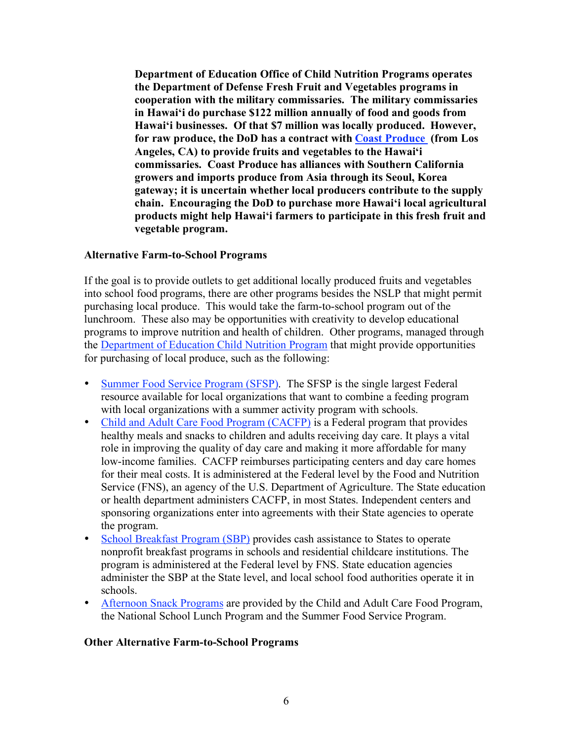**Department of Education Office of Child Nutrition Programs operates the Department of Defense Fresh Fruit and Vegetables programs in cooperation with the military commissaries. The military commissaries in Hawai'i do purchase \$122 million annually of food and goods from Hawai'i businesses. Of that \$7 million was locally produced. However, for raw produce, the DoD has a contract with Coast Produce (from Los Angeles, CA) to provide fruits and vegetables to the Hawai'i commissaries. Coast Produce has alliances with Southern California growers and imports produce from Asia through its Seoul, Korea gateway; it is uncertain whether local producers contribute to the supply chain. Encouraging the DoD to purchase more Hawai'i local agricultural products might help Hawai'i farmers to participate in this fresh fruit and vegetable program.**

#### **Alternative Farm-to-School Programs**

If the goal is to provide outlets to get additional locally produced fruits and vegetables into school food programs, there are other programs besides the NSLP that might permit purchasing local produce. This would take the farm-to-school program out of the lunchroom. These also may be opportunities with creativity to develop educational programs to improve nutrition and health of children. Other programs, managed through the Department of Education Child Nutrition Program that might provide opportunities for purchasing of local produce, such as the following:

- Summer Food Service Program (SFSP). The SFSP is the single largest Federal resource available for local organizations that want to combine a feeding program with local organizations with a summer activity program with schools.
- Child and Adult Care Food Program (CACFP) is a Federal program that provides healthy meals and snacks to children and adults receiving day care. It plays a vital role in improving the quality of day care and making it more affordable for many low-income families. CACFP reimburses participating centers and day care homes for their meal costs. It is administered at the Federal level by the Food and Nutrition Service (FNS), an agency of the U.S. Department of Agriculture. The State education or health department administers CACFP, in most States. Independent centers and sponsoring organizations enter into agreements with their State agencies to operate the program.
- School Breakfast Program (SBP) provides cash assistance to States to operate nonprofit breakfast programs in schools and residential childcare institutions. The program is administered at the Federal level by FNS. State education agencies administer the SBP at the State level, and local school food authorities operate it in schools.
- Afternoon Snack Programs are provided by the Child and Adult Care Food Program, the National School Lunch Program and the Summer Food Service Program.

#### **Other Alternative Farm-to-School Programs**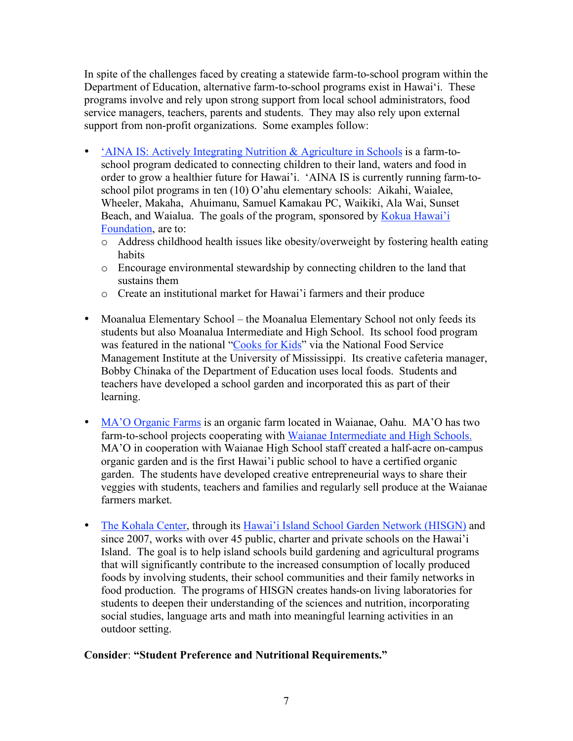In spite of the challenges faced by creating a statewide farm-to-school program within the Department of Education, alternative farm-to-school programs exist in Hawai'i. These programs involve and rely upon strong support from local school administrators, food service managers, teachers, parents and students. They may also rely upon external support from non-profit organizations. Some examples follow:

- 'AINA IS: Actively Integrating Nutrition & Agriculture in Schools is a farm-toschool program dedicated to connecting children to their land, waters and food in order to grow a healthier future for Hawai'i. 'AINA IS is currently running farm-toschool pilot programs in ten (10) O'ahu elementary schools: Aikahi, Waialee, Wheeler, Makaha, Ahuimanu, Samuel Kamakau PC, Waikiki, Ala Wai, Sunset Beach, and Waialua. The goals of the program, sponsored by Kokua Hawai'i Foundation, are to:
	- o Address childhood health issues like obesity/overweight by fostering health eating habits
	- o Encourage environmental stewardship by connecting children to the land that sustains them
	- o Create an institutional market for Hawai'i farmers and their produce
- Moanalua Elementary School the Moanalua Elementary School not only feeds its students but also Moanalua Intermediate and High School. Its school food program was featured in the national "Cooks for Kids" via the National Food Service Management Institute at the University of Mississippi. Its creative cafeteria manager, Bobby Chinaka of the Department of Education uses local foods. Students and teachers have developed a school garden and incorporated this as part of their learning.
- MA'O Organic Farms is an organic farm located in Waianae, Oahu. MA'O has two farm-to-school projects cooperating with Waianae Intermediate and High Schools. MA'O in cooperation with Waianae High School staff created a half-acre on-campus organic garden and is the first Hawai'i public school to have a certified organic garden. The students have developed creative entrepreneurial ways to share their veggies with students, teachers and families and regularly sell produce at the Waianae farmers market.
- The Kohala Center, through its Hawai'i Island School Garden Network (HISGN) and since 2007, works with over 45 public, charter and private schools on the Hawai'i Island. The goal is to help island schools build gardening and agricultural programs that will significantly contribute to the increased consumption of locally produced foods by involving students, their school communities and their family networks in food production. The programs of HISGN creates hands-on living laboratories for students to deepen their understanding of the sciences and nutrition, incorporating social studies, language arts and math into meaningful learning activities in an outdoor setting.

#### **Consider**: **"Student Preference and Nutritional Requirements."**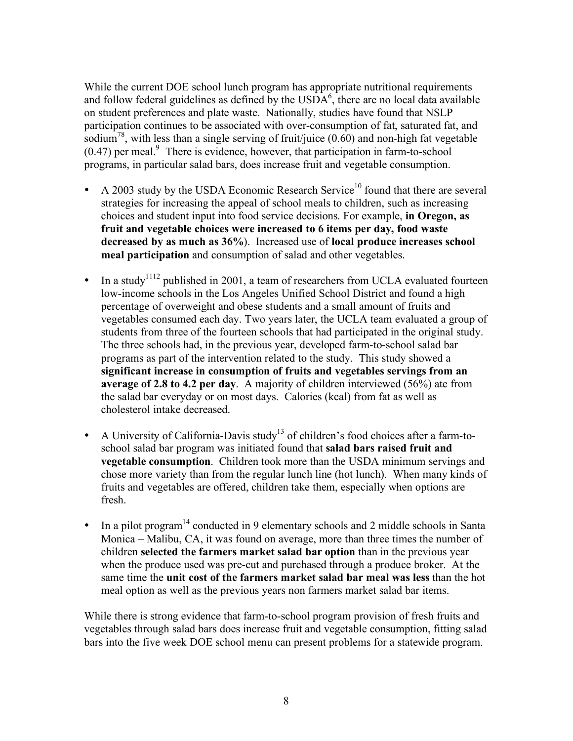While the current DOE school lunch program has appropriate nutritional requirements and follow federal guidelines as defined by the  $\text{USDA}^6$ , there are no local data available on student preferences and plate waste. Nationally, studies have found that NSLP participation continues to be associated with over-consumption of fat, saturated fat, and sodium<sup>78</sup>, with less than a single serving of fruit/juice (0.60) and non-high fat vegetable  $(0.47)$  per meal. $9$  There is evidence, however, that participation in farm-to-school programs, in particular salad bars, does increase fruit and vegetable consumption.

- A 2003 study by the USDA Economic Research Service<sup>10</sup> found that there are several strategies for increasing the appeal of school meals to children, such as increasing choices and student input into food service decisions. For example, **in Oregon, as fruit and vegetable choices were increased to 6 items per day, food waste decreased by as much as 36%**). Increased use of **local produce increases school meal participation** and consumption of salad and other vegetables.
- In a study<sup>1112</sup> published in 2001, a team of researchers from UCLA evaluated fourteen low-income schools in the Los Angeles Unified School District and found a high percentage of overweight and obese students and a small amount of fruits and vegetables consumed each day. Two years later, the UCLA team evaluated a group of students from three of the fourteen schools that had participated in the original study. The three schools had, in the previous year, developed farm-to-school salad bar programs as part of the intervention related to the study. This study showed a **significant increase in consumption of fruits and vegetables servings from an average of 2.8 to 4.2 per day**. A majority of children interviewed (56%) ate from the salad bar everyday or on most days. Calories (kcal) from fat as well as cholesterol intake decreased.
- A University of California-Davis study<sup>13</sup> of children's food choices after a farm-toschool salad bar program was initiated found that **salad bars raised fruit and vegetable consumption**. Children took more than the USDA minimum servings and chose more variety than from the regular lunch line (hot lunch). When many kinds of fruits and vegetables are offered, children take them, especially when options are fresh.
- In a pilot program<sup>14</sup> conducted in 9 elementary schools and 2 middle schools in Santa Monica – Malibu, CA, it was found on average, more than three times the number of children **selected the farmers market salad bar option** than in the previous year when the produce used was pre-cut and purchased through a produce broker. At the same time the **unit cost of the farmers market salad bar meal was less** than the hot meal option as well as the previous years non farmers market salad bar items.

While there is strong evidence that farm-to-school program provision of fresh fruits and vegetables through salad bars does increase fruit and vegetable consumption, fitting salad bars into the five week DOE school menu can present problems for a statewide program.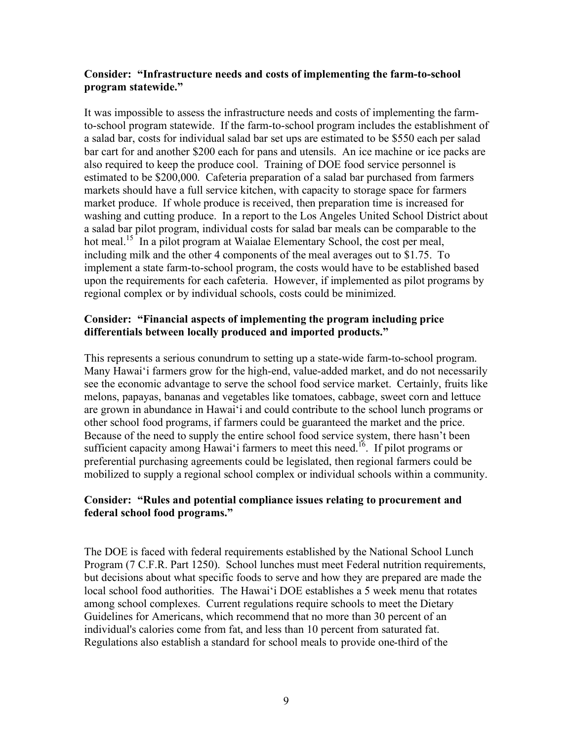#### **Consider: "Infrastructure needs and costs of implementing the farm-to-school program statewide."**

It was impossible to assess the infrastructure needs and costs of implementing the farmto-school program statewide. If the farm-to-school program includes the establishment of a salad bar, costs for individual salad bar set ups are estimated to be \$550 each per salad bar cart for and another \$200 each for pans and utensils. An ice machine or ice packs are also required to keep the produce cool. Training of DOE food service personnel is estimated to be \$200,000. Cafeteria preparation of a salad bar purchased from farmers markets should have a full service kitchen, with capacity to storage space for farmers market produce. If whole produce is received, then preparation time is increased for washing and cutting produce. In a report to the Los Angeles United School District about a salad bar pilot program, individual costs for salad bar meals can be comparable to the hot meal.<sup>15</sup> In a pilot program at Waialae Elementary School, the cost per meal, including milk and the other 4 components of the meal averages out to \$1.75. To implement a state farm-to-school program, the costs would have to be established based upon the requirements for each cafeteria. However, if implemented as pilot programs by regional complex or by individual schools, costs could be minimized.

#### **Consider: "Financial aspects of implementing the program including price differentials between locally produced and imported products."**

This represents a serious conundrum to setting up a state-wide farm-to-school program. Many Hawai'i farmers grow for the high-end, value-added market, and do not necessarily see the economic advantage to serve the school food service market. Certainly, fruits like melons, papayas, bananas and vegetables like tomatoes, cabbage, sweet corn and lettuce are grown in abundance in Hawai'i and could contribute to the school lunch programs or other school food programs, if farmers could be guaranteed the market and the price. Because of the need to supply the entire school food service system, there hasn't been sufficient capacity among Hawai'i farmers to meet this need.<sup>16</sup>. If pilot programs or preferential purchasing agreements could be legislated, then regional farmers could be mobilized to supply a regional school complex or individual schools within a community.

#### **Consider: "Rules and potential compliance issues relating to procurement and federal school food programs."**

The DOE is faced with federal requirements established by the National School Lunch Program (7 C.F.R. Part 1250). School lunches must meet Federal nutrition requirements, but decisions about what specific foods to serve and how they are prepared are made the local school food authorities. The Hawai'i DOE establishes a 5 week menu that rotates among school complexes. Current regulations require schools to meet the Dietary Guidelines for Americans, which recommend that no more than 30 percent of an individual's calories come from fat, and less than 10 percent from saturated fat. Regulations also establish a standard for school meals to provide one-third of the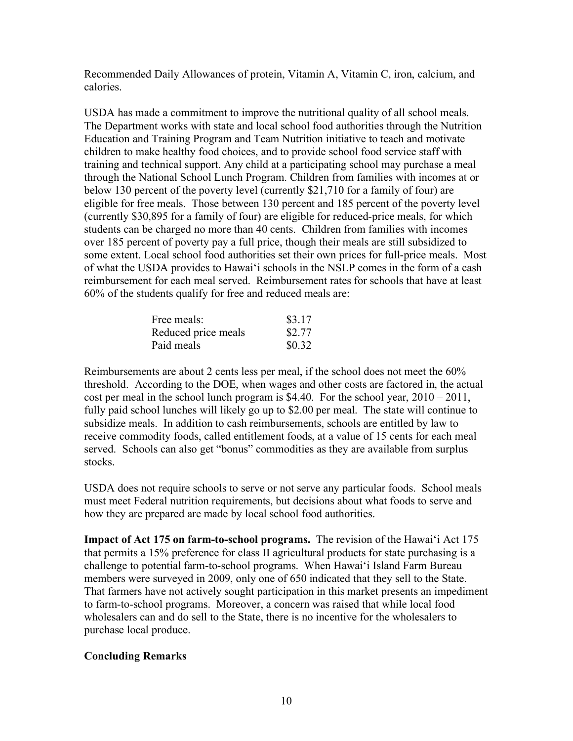Recommended Daily Allowances of protein, Vitamin A, Vitamin C, iron, calcium, and calories.

USDA has made a commitment to improve the nutritional quality of all school meals. The Department works with state and local school food authorities through the Nutrition Education and Training Program and Team Nutrition initiative to teach and motivate children to make healthy food choices, and to provide school food service staff with training and technical support. Any child at a participating school may purchase a meal through the National School Lunch Program. Children from families with incomes at or below 130 percent of the poverty level (currently \$21,710 for a family of four) are eligible for free meals. Those between 130 percent and 185 percent of the poverty level (currently \$30,895 for a family of four) are eligible for reduced-price meals, for which students can be charged no more than 40 cents. Children from families with incomes over 185 percent of poverty pay a full price, though their meals are still subsidized to some extent. Local school food authorities set their own prices for full-price meals. Most of what the USDA provides to Hawai'i schools in the NSLP comes in the form of a cash reimbursement for each meal served. Reimbursement rates for schools that have at least 60% of the students qualify for free and reduced meals are:

| Free meals:         | \$3.17 |
|---------------------|--------|
| Reduced price meals | \$2.77 |
| Paid meals          | \$0.32 |

Reimbursements are about 2 cents less per meal, if the school does not meet the 60% threshold. According to the DOE, when wages and other costs are factored in, the actual cost per meal in the school lunch program is  $$4.40$ . For the school year,  $2010 - 2011$ , fully paid school lunches will likely go up to \$2.00 per meal. The state will continue to subsidize meals. In addition to cash reimbursements, schools are entitled by law to receive commodity foods, called entitlement foods, at a value of 15 cents for each meal served. Schools can also get "bonus" commodities as they are available from surplus stocks.

USDA does not require schools to serve or not serve any particular foods. School meals must meet Federal nutrition requirements, but decisions about what foods to serve and how they are prepared are made by local school food authorities.

**Impact of Act 175 on farm-to-school programs.** The revision of the Hawai'i Act 175 that permits a 15% preference for class II agricultural products for state purchasing is a challenge to potential farm-to-school programs. When Hawai'i Island Farm Bureau members were surveyed in 2009, only one of 650 indicated that they sell to the State. That farmers have not actively sought participation in this market presents an impediment to farm-to-school programs. Moreover, a concern was raised that while local food wholesalers can and do sell to the State, there is no incentive for the wholesalers to purchase local produce.

## **Concluding Remarks**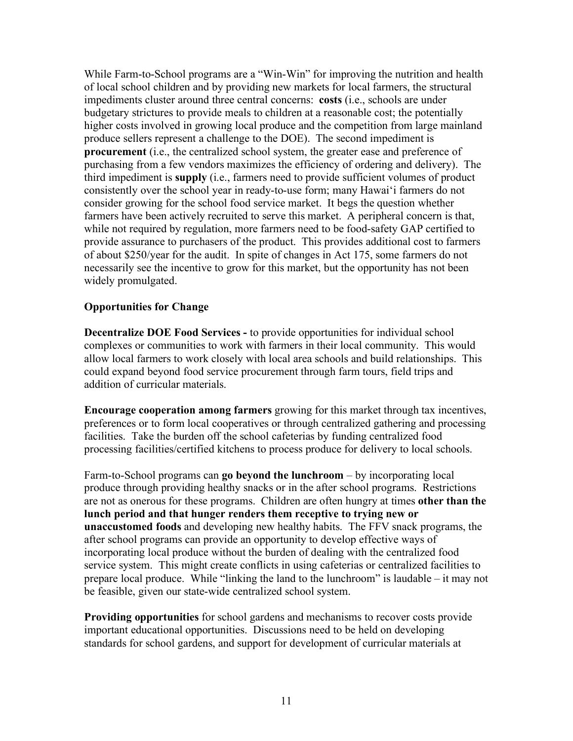While Farm-to-School programs are a "Win-Win" for improving the nutrition and health of local school children and by providing new markets for local farmers, the structural impediments cluster around three central concerns: **costs** (i.e., schools are under budgetary strictures to provide meals to children at a reasonable cost; the potentially higher costs involved in growing local produce and the competition from large mainland produce sellers represent a challenge to the DOE). The second impediment is **procurement** (i.e., the centralized school system, the greater ease and preference of purchasing from a few vendors maximizes the efficiency of ordering and delivery). The third impediment is **supply** (i.e., farmers need to provide sufficient volumes of product consistently over the school year in ready-to-use form; many Hawai'i farmers do not consider growing for the school food service market. It begs the question whether farmers have been actively recruited to serve this market. A peripheral concern is that, while not required by regulation, more farmers need to be food-safety GAP certified to provide assurance to purchasers of the product. This provides additional cost to farmers of about \$250/year for the audit. In spite of changes in Act 175, some farmers do not necessarily see the incentive to grow for this market, but the opportunity has not been widely promulgated.

#### **Opportunities for Change**

**Decentralize DOE Food Services -** to provide opportunities for individual school complexes or communities to work with farmers in their local community. This would allow local farmers to work closely with local area schools and build relationships. This could expand beyond food service procurement through farm tours, field trips and addition of curricular materials.

**Encourage cooperation among farmers** growing for this market through tax incentives, preferences or to form local cooperatives or through centralized gathering and processing facilities. Take the burden off the school cafeterias by funding centralized food processing facilities/certified kitchens to process produce for delivery to local schools.

Farm-to-School programs can **go beyond the lunchroom** – by incorporating local produce through providing healthy snacks or in the after school programs. Restrictions are not as onerous for these programs. Children are often hungry at times **other than the lunch period and that hunger renders them receptive to trying new or unaccustomed foods** and developing new healthy habits. The FFV snack programs, the after school programs can provide an opportunity to develop effective ways of incorporating local produce without the burden of dealing with the centralized food service system. This might create conflicts in using cafeterias or centralized facilities to prepare local produce. While "linking the land to the lunchroom" is laudable – it may not be feasible, given our state-wide centralized school system.

**Providing opportunities** for school gardens and mechanisms to recover costs provide important educational opportunities. Discussions need to be held on developing standards for school gardens, and support for development of curricular materials at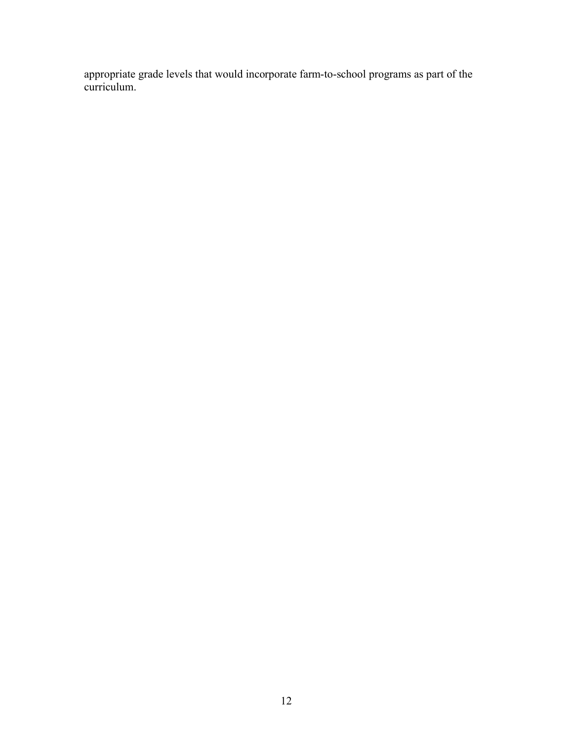appropriate grade levels that would incorporate farm-to-school programs as part of the curriculum.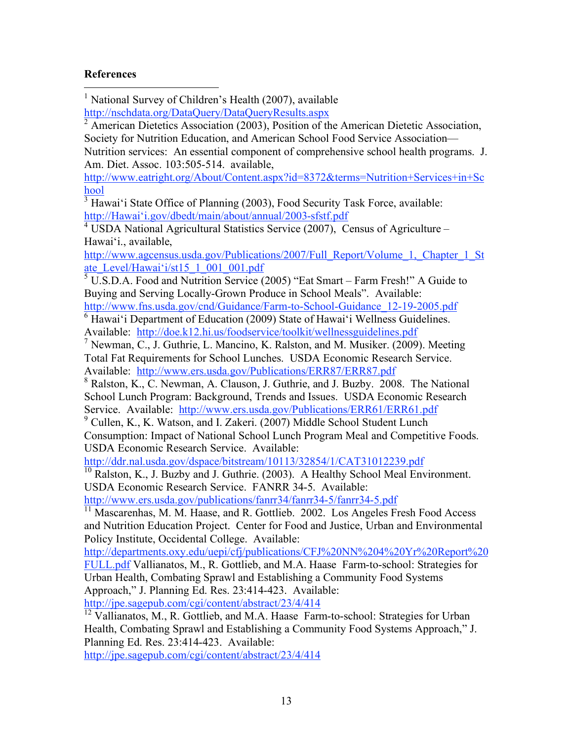#### **References**

 1 National Survey of Children's Health (2007), available http://nschdata.org/DataQuery/DataQueryResults.aspx <sup>2</sup> American Dietetics Association (2003), Position of the American Dietetic Association, Society for Nutrition Education, and American School Food Service Association— Nutrition services: An essential component of comprehensive school health programs. J. Am. Diet. Assoc. 103:505-514. available, http://www.eatright.org/About/Content.aspx?id=8372&terms=Nutrition+Services+in+Sc hool  $3\overline{H}$ awai'i State Office of Planning (2003), Food Security Task Force, available: http://Hawai'i.gov/dbedt/main/about/annual/2003-sfstf.pdf  $4 \text{ USDA National Agricultural Statistics Service } (2007)$ , Census of Agriculture – Hawai'i., available, http://www.agcensus.usda.gov/Publications/2007/Full\_Report/Volume\_1,\_Chapter\_1\_St ate\_Level/Hawai'i/st15\_1\_001\_001.pdf  $5 \overline{U}$ .S.D.A. Food and Nutrition Service (2005) "Eat Smart – Farm Fresh!" A Guide to Buying and Serving Locally-Grown Produce in School Meals". Available: http://www.fns.usda.gov/cnd/Guidance/Farm-to-School-Guidance\_12-19-2005.pdf  $\overline{6}$  Hawai'i Department of Education (2009) State of Hawai'i Wellness Guidelines. Available: http://doe.k12.hi.us/foodservice/toolkit/wellnessguidelines.pdf <sup>7</sup> Newman, C., J. Guthrie, L. Mancino, K. Ralston, and M. Musiker. (2009). Meeting Total Fat Requirements for School Lunches. USDA Economic Research Service. Available: http://www.ers.usda.gov/Publications/ERR87/ERR87.pdf <sup>8</sup> Ralston, K., C. Newman, A. Clauson, J. Guthrie, and J. Buzby. 2008. The National School Lunch Program: Background, Trends and Issues. USDA Economic Research Service. Available: http://www.ers.usda.gov/Publications/ERR61/ERR61.pdf <sup>9</sup> Cullen, K., K. Watson, and I. Zakeri. (2007) Middle School Student Lunch Consumption: Impact of National School Lunch Program Meal and Competitive Foods. USDA Economic Research Service. Available: http://ddr.nal.usda.gov/dspace/bitstream/10113/32854/1/CAT31012239.pdf  $10$  Ralston, K., J. Buzby and J. Guthrie. (2003). A Healthy School Meal Environment. USDA Economic Research Service. FANRR 34-5. Available: http://www.ers.usda.gov/publications/fanrr34/fanrr34-5/fanrr34-5.pdf  $11$  Mascarenhas, M. M. Haase, and R. Gottlieb. 2002. Los Angeles Fresh Food Access and Nutrition Education Project. Center for Food and Justice, Urban and Environmental Policy Institute, Occidental College. Available: http://departments.oxy.edu/uepi/cfj/publications/CFJ%20NN%204%20Yr%20Report%20 FULL.pdf Vallianatos, M., R. Gottlieb, and M.A. Haase Farm-to-school: Strategies for Urban Health, Combating Sprawl and Establishing a Community Food Systems Approach," J. Planning Ed. Res. 23:414-423. Available: http://jpe.sagepub.com/cgi/content/abstract/23/4/414<br><sup>12</sup> Vallianatos, M., R. Gottlieb, and M.A. Haase Farm-to-school: Strategies for Urban Health, Combating Sprawl and Establishing a Community Food Systems Approach," J. Planning Ed. Res. 23:414-423. Available: http://jpe.sagepub.com/cgi/content/abstract/23/4/414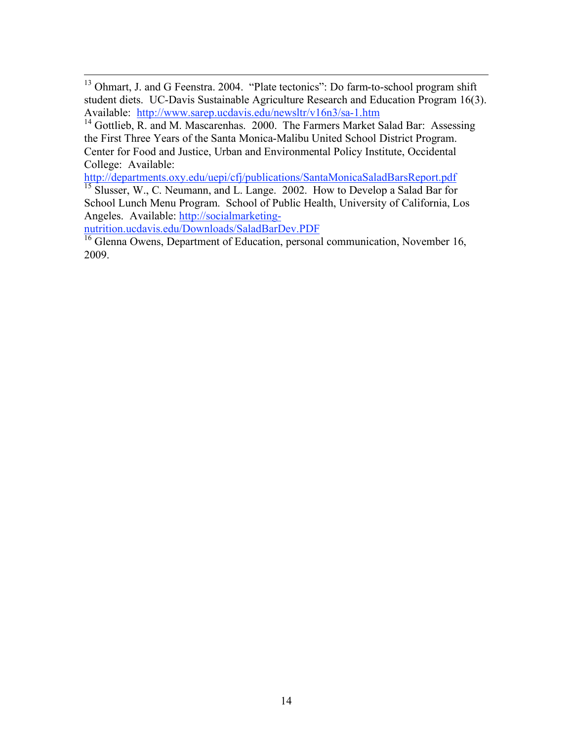<sup>13</sup> Ohmart, J. and G Feenstra. 2004. "Plate tectonics": Do farm-to-school program shift student diets. UC-Davis Sustainable Agriculture Research and Education Program 16(3). Available: http://www.sarep.ucdavis.edu/newsltr/v16n3/sa-1.htm

 $14$  Gottlieb, R. and M. Mascarenhas. 2000. The Farmers Market Salad Bar: Assessing the First Three Years of the Santa Monica-Malibu United School District Program. Center for Food and Justice, Urban and Environmental Policy Institute, Occidental College: Available:

http://departments.oxy.edu/uepi/cfj/publications/SantaMonicaSaladBarsReport.pdf <sup>15</sup> Slusser, W., C. Neumann, and L. Lange. 2002. How to Develop a Salad Bar for School Lunch Menu Program. School of Public Health, University of California, Los Angeles. Available: http://socialmarketing-

nutrition.ucdavis.edu/Downloads/SaladBarDev.PDF<br><sup>16</sup> Glenna Owens, Department of Education, personal communication, November 16, 2009.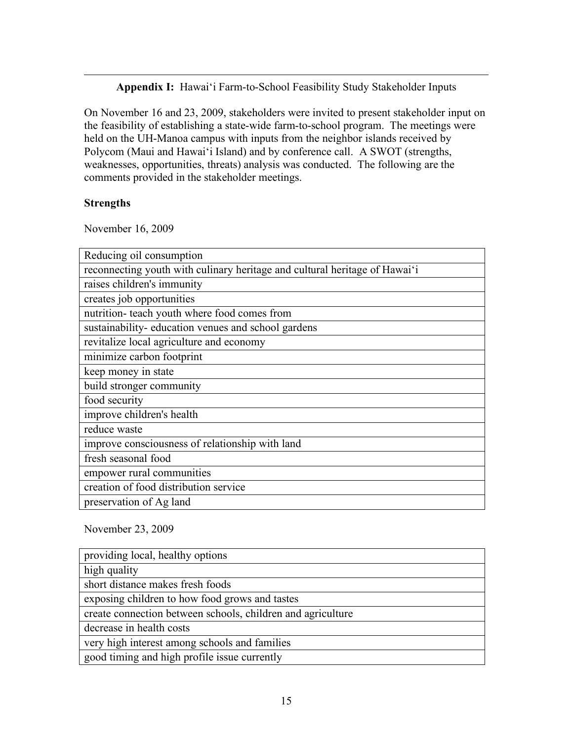**Appendix I:** Hawai'i Farm-to-School Feasibility Study Stakeholder Inputs

On November 16 and 23, 2009, stakeholders were invited to present stakeholder input on the feasibility of establishing a state-wide farm-to-school program. The meetings were held on the UH-Manoa campus with inputs from the neighbor islands received by Polycom (Maui and Hawai'i Island) and by conference call. A SWOT (strengths, weaknesses, opportunities, threats) analysis was conducted. The following are the comments provided in the stakeholder meetings.

#### **Strengths**

 $\overline{a}$ 

November 16, 2009

| Reducing oil consumption                                                   |
|----------------------------------------------------------------------------|
| reconnecting youth with culinary heritage and cultural heritage of Hawai'i |
| raises children's immunity                                                 |
| creates job opportunities                                                  |
| nutrition- teach youth where food comes from                               |
| sustainability- education venues and school gardens                        |
| revitalize local agriculture and economy                                   |
| minimize carbon footprint                                                  |
| keep money in state                                                        |
| build stronger community                                                   |
| food security                                                              |
| improve children's health                                                  |
| reduce waste                                                               |
| improve consciousness of relationship with land                            |
| fresh seasonal food                                                        |
| empower rural communities                                                  |
| creation of food distribution service                                      |
| preservation of Ag land                                                    |

#### November 23, 2009

| providing local, healthy options                            |
|-------------------------------------------------------------|
| high quality                                                |
| short distance makes fresh foods                            |
| exposing children to how food grows and tastes              |
| create connection between schools, children and agriculture |
| decrease in health costs                                    |
| very high interest among schools and families               |
| good timing and high profile issue currently                |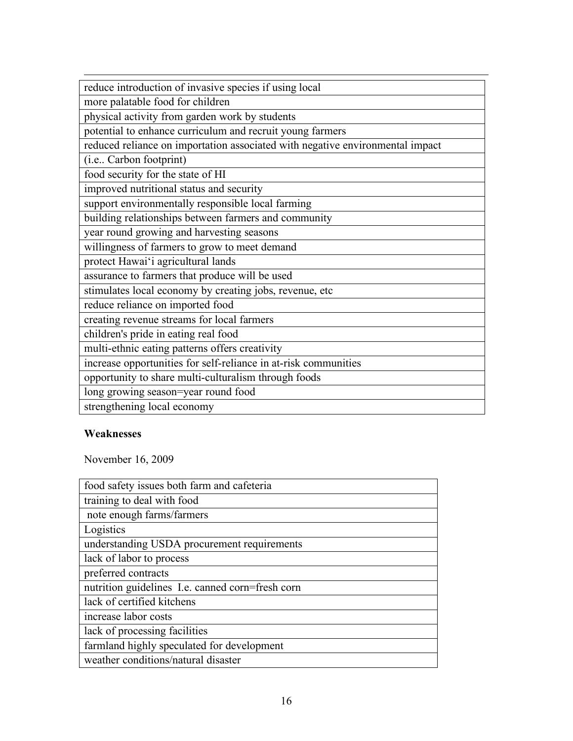| reduce introduction of invasive species if using local                        |
|-------------------------------------------------------------------------------|
| more palatable food for children                                              |
| physical activity from garden work by students                                |
| potential to enhance curriculum and recruit young farmers                     |
| reduced reliance on importation associated with negative environmental impact |
| (i.e., Carbon footprint)                                                      |
| food security for the state of HI                                             |
| improved nutritional status and security                                      |
| support environmentally responsible local farming                             |
| building relationships between farmers and community                          |
| year round growing and harvesting seasons                                     |
| willingness of farmers to grow to meet demand                                 |
| protect Hawai'i agricultural lands                                            |
| assurance to farmers that produce will be used                                |
| stimulates local economy by creating jobs, revenue, etc                       |
| reduce reliance on imported food                                              |
| creating revenue streams for local farmers                                    |
| children's pride in eating real food                                          |
| multi-ethnic eating patterns offers creativity                                |
| increase opportunities for self-reliance in at-risk communities               |
| opportunity to share multi-culturalism through foods                          |
| long growing season=year round food                                           |
| strengthening local economy                                                   |

## **Weaknesses**

November 16, 2009

| food safety issues both farm and cafeteria       |
|--------------------------------------------------|
| training to deal with food                       |
| note enough farms/farmers                        |
| Logistics                                        |
| understanding USDA procurement requirements      |
| lack of labor to process                         |
| preferred contracts                              |
| nutrition guidelines I.e. canned corn=fresh corn |
| lack of certified kitchens                       |
| increase labor costs                             |
| lack of processing facilities                    |
| farmland highly speculated for development       |
| weather conditions/natural disaster              |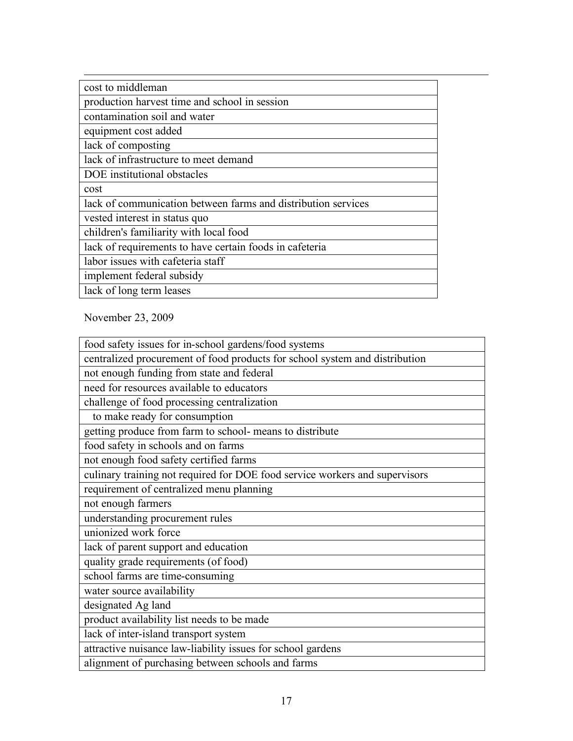| cost to middleman                                             |
|---------------------------------------------------------------|
| production harvest time and school in session                 |
| contamination soil and water                                  |
| equipment cost added                                          |
| lack of composting                                            |
| lack of infrastructure to meet demand                         |
| DOE institutional obstacles                                   |
| cost                                                          |
| lack of communication between farms and distribution services |
| vested interest in status quo                                 |
| children's familiarity with local food                        |
| lack of requirements to have certain foods in cafeteria       |
| labor issues with cafeteria staff                             |
| implement federal subsidy                                     |
| lack of long term leases                                      |

November 23, 2009

| food safety issues for in-school gardens/food systems                       |
|-----------------------------------------------------------------------------|
| centralized procurement of food products for school system and distribution |
| not enough funding from state and federal                                   |
| need for resources available to educators                                   |
| challenge of food processing centralization                                 |
| to make ready for consumption                                               |
| getting produce from farm to school- means to distribute                    |
| food safety in schools and on farms                                         |
| not enough food safety certified farms                                      |
| culinary training not required for DOE food service workers and supervisors |
| requirement of centralized menu planning                                    |
| not enough farmers                                                          |
| understanding procurement rules                                             |
| unionized work force                                                        |
| lack of parent support and education                                        |
| quality grade requirements (of food)                                        |
| school farms are time-consuming                                             |
| water source availability                                                   |
| designated Ag land                                                          |
| product availability list needs to be made                                  |
| lack of inter-island transport system                                       |
| attractive nuisance law-liability issues for school gardens                 |
| alignment of purchasing between schools and farms                           |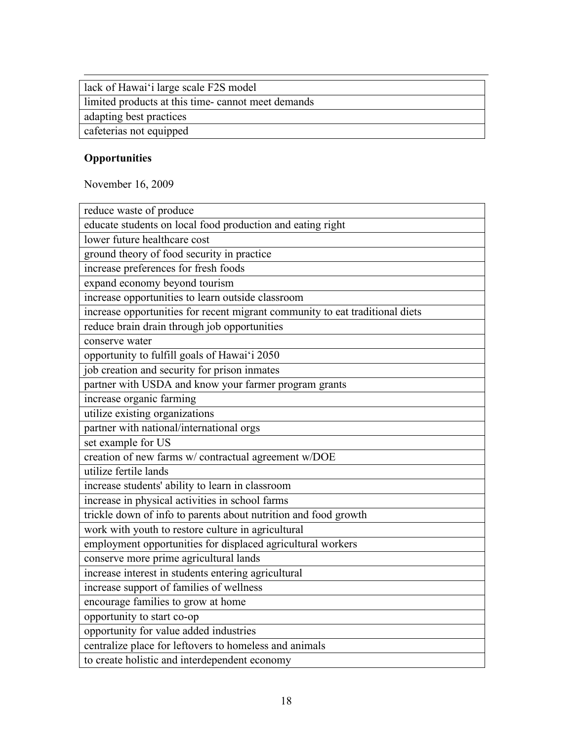lack of Hawai'i large scale F2S model

limited products at this time- cannot meet demands

adapting best practices

cafeterias not equipped

# **Opportunities**

 $\overline{a}$ 

November 16, 2009

| reduce waste of produce                                                                                 |
|---------------------------------------------------------------------------------------------------------|
| educate students on local food production and eating right                                              |
| lower future healthcare cost                                                                            |
| ground theory of food security in practice                                                              |
| increase preferences for fresh foods                                                                    |
| expand economy beyond tourism                                                                           |
| increase opportunities to learn outside classroom                                                       |
| increase opportunities for recent migrant community to eat traditional diets                            |
| reduce brain drain through job opportunities                                                            |
| conserve water                                                                                          |
| opportunity to fulfill goals of Hawai'i 2050                                                            |
| job creation and security for prison inmates                                                            |
| partner with USDA and know your farmer program grants                                                   |
| increase organic farming                                                                                |
| utilize existing organizations                                                                          |
| partner with national/international orgs                                                                |
| set example for US                                                                                      |
| creation of new farms w/ contractual agreement w/DOE                                                    |
| utilize fertile lands                                                                                   |
| increase students' ability to learn in classroom                                                        |
| increase in physical activities in school farms                                                         |
| trickle down of info to parents about nutrition and food growth                                         |
| work with youth to restore culture in agricultural                                                      |
| employment opportunities for displaced agricultural workers                                             |
| conserve more prime agricultural lands                                                                  |
| increase interest in students entering agricultural                                                     |
| increase support of families of wellness                                                                |
| encourage families to grow at home                                                                      |
| opportunity to start co-op                                                                              |
| opportunity for value added industries                                                                  |
|                                                                                                         |
| centralize place for leftovers to homeless and animals<br>to create holistic and interdependent economy |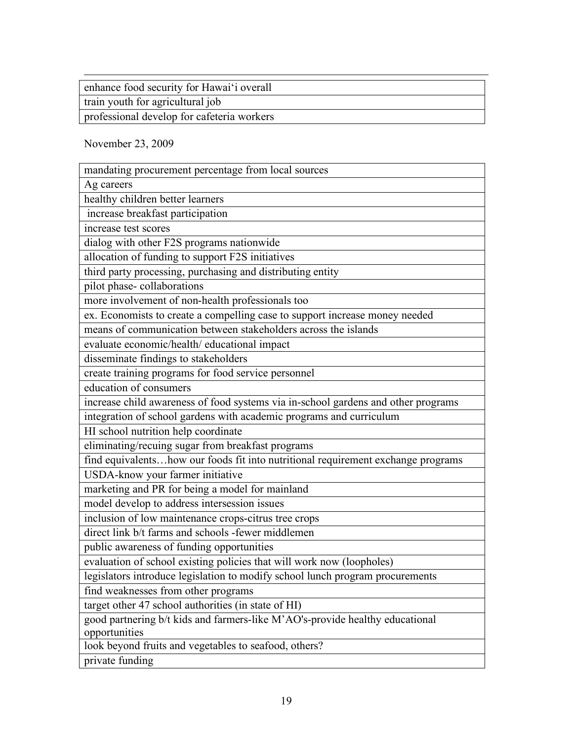| enhance food security for Hawai'i overall  |
|--------------------------------------------|
| train youth for agricultural job           |
| professional develop for cafeteria workers |
|                                            |

November 23, 2009

| mandating procurement percentage from local sources                               |
|-----------------------------------------------------------------------------------|
| Ag careers                                                                        |
| healthy children better learners                                                  |
| increase breakfast participation                                                  |
| increase test scores                                                              |
| dialog with other F2S programs nationwide                                         |
| allocation of funding to support F2S initiatives                                  |
| third party processing, purchasing and distributing entity                        |
| pilot phase-collaborations                                                        |
| more involvement of non-health professionals too                                  |
| ex. Economists to create a compelling case to support increase money needed       |
| means of communication between stakeholders across the islands                    |
| evaluate economic/health/ educational impact                                      |
| disseminate findings to stakeholders                                              |
| create training programs for food service personnel                               |
| education of consumers                                                            |
| increase child awareness of food systems via in-school gardens and other programs |
| integration of school gardens with academic programs and curriculum               |
| HI school nutrition help coordinate                                               |
| eliminating/recuing sugar from breakfast programs                                 |
| find equivalentshow our foods fit into nutritional requirement exchange programs  |
| USDA-know your farmer initiative                                                  |
| marketing and PR for being a model for mainland                                   |
| model develop to address intersession issues                                      |
| inclusion of low maintenance crops-citrus tree crops                              |
| direct link b/t farms and schools -fewer middlemen                                |
| public awareness of funding opportunities                                         |
| evaluation of school existing policies that will work now (loopholes)             |
| legislators introduce legislation to modify school lunch program procurements     |
| find weaknesses from other programs                                               |
| target other 47 school authorities (in state of HI)                               |
| good partnering b/t kids and farmers-like M'AO's-provide healthy educational      |
| opportunities                                                                     |
| look beyond fruits and vegetables to seafood, others?                             |
| private funding                                                                   |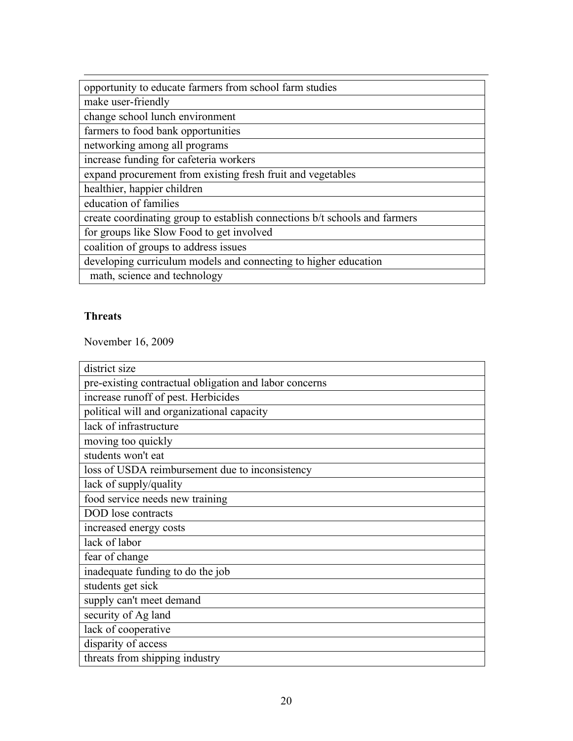| opportunity to educate farmers from school farm studies                    |
|----------------------------------------------------------------------------|
| make user-friendly                                                         |
| change school lunch environment                                            |
| farmers to food bank opportunities                                         |
| networking among all programs                                              |
| increase funding for cafeteria workers                                     |
| expand procurement from existing fresh fruit and vegetables                |
| healthier, happier children                                                |
| education of families                                                      |
| create coordinating group to establish connections b/t schools and farmers |
| for groups like Slow Food to get involved                                  |
| coalition of groups to address issues                                      |
| developing curriculum models and connecting to higher education            |
| math, science and technology                                               |

# **Threats**

November 16, 2009

| district size                                          |
|--------------------------------------------------------|
| pre-existing contractual obligation and labor concerns |
| increase runoff of pest. Herbicides                    |
| political will and organizational capacity             |
| lack of infrastructure                                 |
| moving too quickly                                     |
| students won't eat                                     |
| loss of USDA reimbursement due to inconsistency        |
| lack of supply/quality                                 |
| food service needs new training                        |
| DOD lose contracts                                     |
| increased energy costs                                 |
| lack of labor                                          |
| fear of change                                         |
| inadequate funding to do the job                       |
| students get sick                                      |
| supply can't meet demand                               |
| security of Ag land                                    |
| lack of cooperative                                    |
| disparity of access                                    |
| threats from shipping industry                         |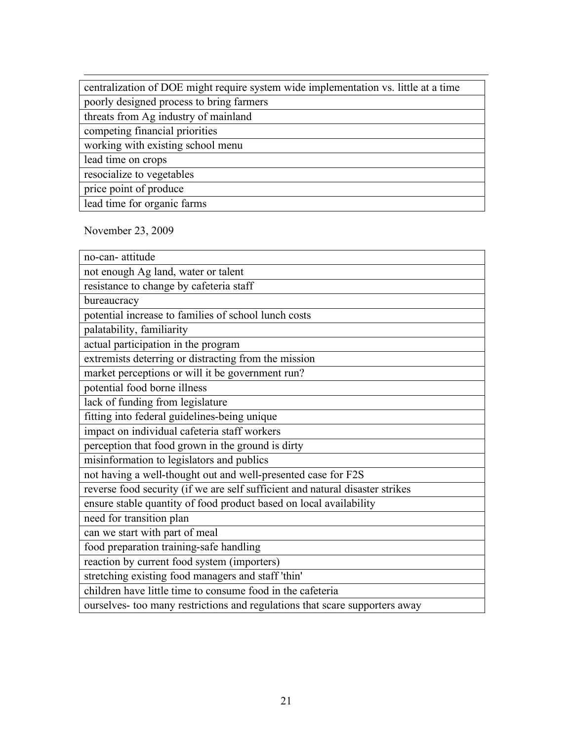| centralization of DOE might require system wide implementation vs. little at a time |
|-------------------------------------------------------------------------------------|
| poorly designed process to bring farmers                                            |
| threats from Ag industry of mainland                                                |
| competing financial priorities                                                      |
| working with existing school menu                                                   |
| lead time on crops                                                                  |
| resocialize to vegetables                                                           |
| price point of produce                                                              |
| lead time for organic farms                                                         |

November 23, 2009

| no-can-attitude                                                               |
|-------------------------------------------------------------------------------|
| not enough Ag land, water or talent                                           |
| resistance to change by cafeteria staff                                       |
| bureaucracy                                                                   |
| potential increase to families of school lunch costs                          |
| palatability, familiarity                                                     |
| actual participation in the program                                           |
| extremists deterring or distracting from the mission                          |
| market perceptions or will it be government run?                              |
| potential food borne illness                                                  |
| lack of funding from legislature                                              |
| fitting into federal guidelines-being unique                                  |
| impact on individual cafeteria staff workers                                  |
| perception that food grown in the ground is dirty                             |
| misinformation to legislators and publics                                     |
| not having a well-thought out and well-presented case for F2S                 |
| reverse food security (if we are self sufficient and natural disaster strikes |
| ensure stable quantity of food product based on local availability            |
| need for transition plan                                                      |
| can we start with part of meal                                                |
| food preparation training-safe handling                                       |
| reaction by current food system (importers)                                   |
| stretching existing food managers and staff 'thin'                            |
| children have little time to consume food in the cafeteria                    |
| ourselves- too many restrictions and regulations that scare supporters away   |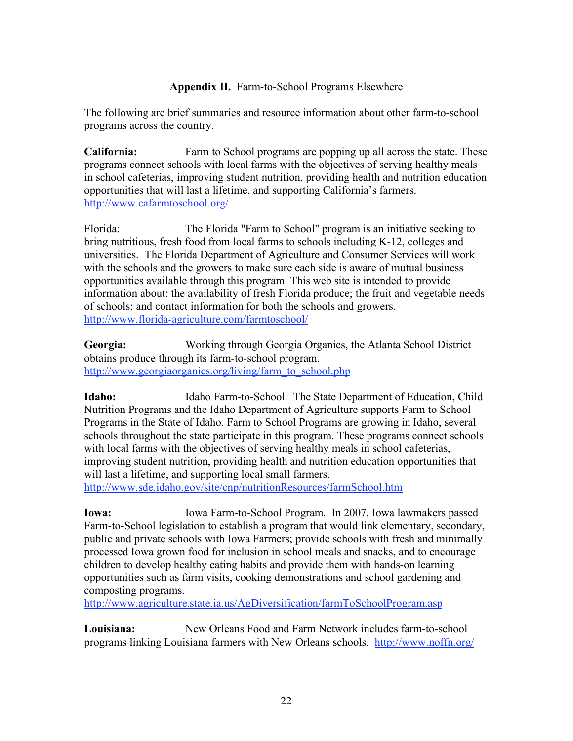#### **Appendix II.** Farm-to-School Programs Elsewhere

 $\overline{a}$ 

The following are brief summaries and resource information about other farm-to-school programs across the country.

**California:** Farm to School programs are popping up all across the state. These programs connect schools with local farms with the objectives of serving healthy meals in school cafeterias, improving student nutrition, providing health and nutrition education opportunities that will last a lifetime, and supporting California's farmers. http://www.cafarmtoschool.org/

Florida: The Florida "Farm to School" program is an initiative seeking to bring nutritious, fresh food from local farms to schools including K-12, colleges and universities. The Florida Department of Agriculture and Consumer Services will work with the schools and the growers to make sure each side is aware of mutual business opportunities available through this program. This web site is intended to provide information about: the availability of fresh Florida produce; the fruit and vegetable needs of schools; and contact information for both the schools and growers. http://www.florida-agriculture.com/farmtoschool/

**Georgia:** Working through Georgia Organics, the Atlanta School District obtains produce through its farm-to-school program. http://www.georgiaorganics.org/living/farm\_to\_school.php

**Idaho:** Idaho Farm-to-School. The State Department of Education, Child Nutrition Programs and the Idaho Department of Agriculture supports Farm to School Programs in the State of Idaho. Farm to School Programs are growing in Idaho, several schools throughout the state participate in this program. These programs connect schools with local farms with the objectives of serving healthy meals in school cafeterias, improving student nutrition, providing health and nutrition education opportunities that will last a lifetime, and supporting local small farmers.

http://www.sde.idaho.gov/site/cnp/nutritionResources/farmSchool.htm

**Iowa:** Iowa Farm-to-School Program. In 2007, Iowa lawmakers passed Farm-to-School legislation to establish a program that would link elementary, secondary, public and private schools with Iowa Farmers; provide schools with fresh and minimally processed Iowa grown food for inclusion in school meals and snacks, and to encourage children to develop healthy eating habits and provide them with hands-on learning opportunities such as farm visits, cooking demonstrations and school gardening and composting programs.

http://www.agriculture.state.ia.us/AgDiversification/farmToSchoolProgram.asp

**Louisiana:** New Orleans Food and Farm Network includes farm-to-school programs linking Louisiana farmers with New Orleans schools. http://www.noffn.org/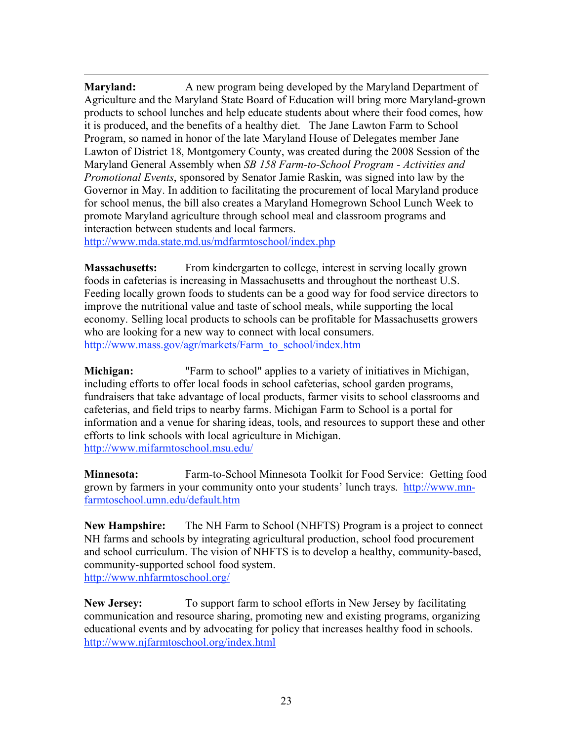$\overline{a}$ **Maryland:** A new program being developed by the Maryland Department of Agriculture and the Maryland State Board of Education will bring more Maryland-grown products to school lunches and help educate students about where their food comes, how it is produced, and the benefits of a healthy diet. The Jane Lawton Farm to School Program, so named in honor of the late Maryland House of Delegates member Jane Lawton of District 18, Montgomery County, was created during the 2008 Session of the Maryland General Assembly when *SB 158 Farm-to-School Program - Activities and Promotional Events*, sponsored by Senator Jamie Raskin, was signed into law by the Governor in May. In addition to facilitating the procurement of local Maryland produce for school menus, the bill also creates a Maryland Homegrown School Lunch Week to promote Maryland agriculture through school meal and classroom programs and interaction between students and local farmers.

http://www.mda.state.md.us/mdfarmtoschool/index.php

**Massachusetts:** From kindergarten to college, interest in serving locally grown foods in cafeterias is increasing in Massachusetts and throughout the northeast U.S. Feeding locally grown foods to students can be a good way for food service directors to improve the nutritional value and taste of school meals, while supporting the local economy. Selling local products to schools can be profitable for Massachusetts growers who are looking for a new way to connect with local consumers. http://www.mass.gov/agr/markets/Farm\_to\_school/index.htm

**Michigan:** "Farm to school" applies to a variety of initiatives in Michigan, including efforts to offer local foods in school cafeterias, school garden programs, fundraisers that take advantage of local products, farmer visits to school classrooms and cafeterias, and field trips to nearby farms. Michigan Farm to School is a portal for information and a venue for sharing ideas, tools, and resources to support these and other efforts to link schools with local agriculture in Michigan. http://www.mifarmtoschool.msu.edu/

**Minnesota:** Farm-to-School Minnesota Toolkit for Food Service: Getting food grown by farmers in your community onto your students' lunch trays. http://www.mnfarmtoschool.umn.edu/default.htm

**New Hampshire:** The NH Farm to School (NHFTS) Program is a project to connect NH farms and schools by integrating agricultural production, school food procurement and school curriculum. The vision of NHFTS is to develop a healthy, community-based, community-supported school food system. http://www.nhfarmtoschool.org/

**New Jersey:** To support farm to school efforts in New Jersey by facilitating communication and resource sharing, promoting new and existing programs, organizing educational events and by advocating for policy that increases healthy food in schools. http://www.njfarmtoschool.org/index.html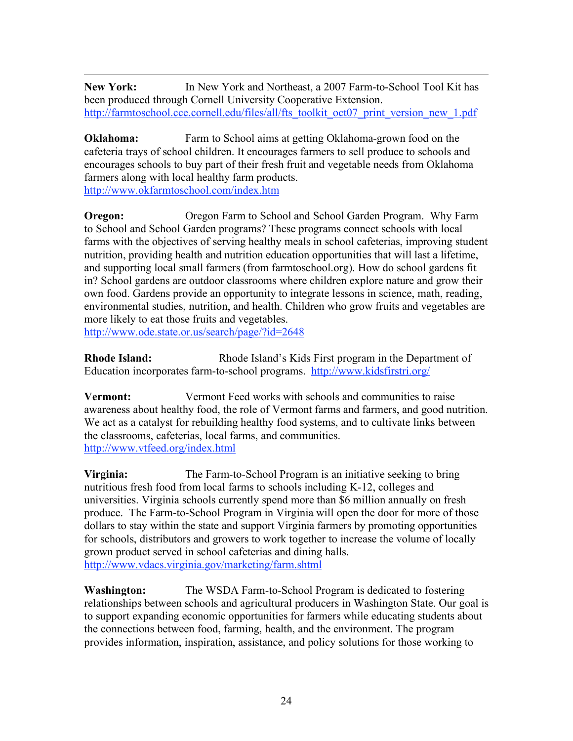$\overline{a}$ **New York:** In New York and Northeast, a 2007 Farm-to-School Tool Kit has been produced through Cornell University Cooperative Extension. http://farmtoschool.cce.cornell.edu/files/all/fts\_toolkit\_oct07\_print\_version\_new\_1.pdf

**Oklahoma:** Farm to School aims at getting Oklahoma-grown food on the cafeteria trays of school children. It encourages farmers to sell produce to schools and encourages schools to buy part of their fresh fruit and vegetable needs from Oklahoma farmers along with local healthy farm products. http://www.okfarmtoschool.com/index.htm

**Oregon:** Oregon Farm to School and School Garden Program. Why Farm to School and School Garden programs? These programs connect schools with local farms with the objectives of serving healthy meals in school cafeterias, improving student nutrition, providing health and nutrition education opportunities that will last a lifetime, and supporting local small farmers (from farmtoschool.org). How do school gardens fit in? School gardens are outdoor classrooms where children explore nature and grow their own food. Gardens provide an opportunity to integrate lessons in science, math, reading, environmental studies, nutrition, and health. Children who grow fruits and vegetables are more likely to eat those fruits and vegetables.

http://www.ode.state.or.us/search/page/?id=2648

**Rhode Island:** Rhode Island's Kids First program in the Department of Education incorporates farm-to-school programs. http://www.kidsfirstri.org/

**Vermont:** Vermont Feed works with schools and communities to raise awareness about healthy food, the role of Vermont farms and farmers, and good nutrition. We act as a catalyst for rebuilding healthy food systems, and to cultivate links between the classrooms, cafeterias, local farms, and communities. http://www.vtfeed.org/index.html

**Virginia:** The Farm-to-School Program is an initiative seeking to bring nutritious fresh food from local farms to schools including K-12, colleges and universities. Virginia schools currently spend more than \$6 million annually on fresh produce. The Farm-to-School Program in Virginia will open the door for more of those dollars to stay within the state and support Virginia farmers by promoting opportunities for schools, distributors and growers to work together to increase the volume of locally grown product served in school cafeterias and dining halls. http://www.vdacs.virginia.gov/marketing/farm.shtml

**Washington:** The WSDA Farm-to-School Program is dedicated to fostering relationships between schools and agricultural producers in Washington State. Our goal is to support expanding economic opportunities for farmers while educating students about the connections between food, farming, health, and the environment. The program provides information, inspiration, assistance, and policy solutions for those working to